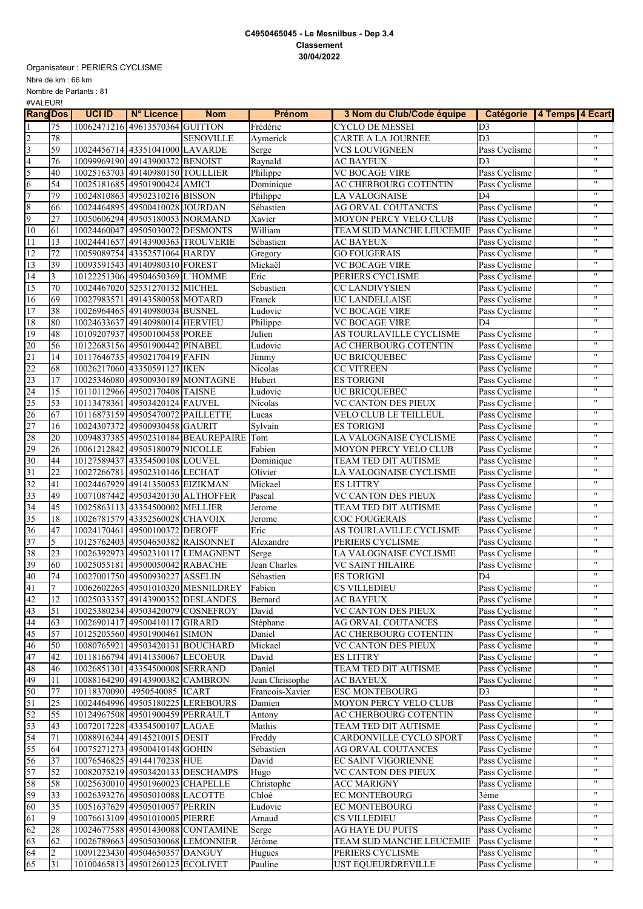## **C4950465045 - Le Mesnilbus - Dep 3.4 Classement 30/04/2022**

Organisateur : PERIERS CYCLISME

Nbre de km : 66 km

Nombre de Partants : 81 #VALEUR!

| <b>Rang Dos</b>  |                 | <b>UCI ID</b> | N° Licence                        | <b>Nom</b>                              | <b>Prénom</b>      | 3 Nom du Club/Code équipe | Catégorie   4 Temps   4 Ecart |                      |
|------------------|-----------------|---------------|-----------------------------------|-----------------------------------------|--------------------|---------------------------|-------------------------------|----------------------|
| $\overline{1}$   | 75              |               | 10062471216 49613570364 GUITTON   |                                         | Frédéric           | <b>CYCLO DE MESSEI</b>    | D <sub>3</sub>                |                      |
| $\overline{c}$   | 78              |               |                                   | <b>SENOVILLE</b>                        | Aymerick           | CARTE A LA JOURNEE        | D <sub>3</sub>                | $\pmb{\mathsf{H}}$   |
|                  | 59              |               | 10024456714 43351041000 LAVARDE   |                                         | Serge              | <b>VCS LOUVIGNEEN</b>     | Pass Cyclisme                 | $\pmb{\mathsf{H}}$   |
| $\frac{3}{4}$    | 76              |               | 10099969190 49143900372 BENOIST   |                                         | Raynald            | <b>AC BAYEUX</b>          | D <sub>3</sub>                | $\pmb{\mathsf{H}}$   |
| $\overline{5}$   | 40              |               | 10025163703 49140980150 TOULLIER  |                                         | Philippe           | <b>VC BOCAGE VIRE</b>     | Pass Cyclisme                 | $\pmb{\mathsf{H}}$   |
| 6                | 54              |               | 10025181685 49501900424 AMICI     |                                         | Dominique          | AC CHERBOURG COTENTIN     | Pass Cyclisme                 | $\pmb{\mathsf{H}}$   |
| $\overline{7}$   | 79              |               | 10024810863 49502310216 BISSON    |                                         | Philippe           | <b>LA VALOGNAISE</b>      | D4                            | $\pmb{\mathsf{H}}$   |
| $\boldsymbol{8}$ | 66              |               | 10024464895 49500410028 JOURDAN   |                                         | Sébastien          | AG ORVAL COUTANCES        | Pass Cyclisme                 | $\pmb{\mathsf{H}}$   |
| $\overline{9}$   |                 |               |                                   |                                         |                    |                           |                               | $\pmb{\mathfrak{m}}$ |
|                  | 27              |               | 10050606294 49505180053 NORMAND   |                                         | Xavier             | MOYON PERCY VELO CLUB     | Pass Cyclisme                 | $\pmb{\mathfrak{m}}$ |
| 10               | 61              |               | 10024460047 49505030072 DESMONTS  |                                         | William            | TEAM SUD MANCHE LEUCEMIE  | Pass Cyclisme                 | $\pmb{\mathsf{H}}$   |
| 11               | 13              |               |                                   | 10024441657 49143900363 TROUVERIE       | Sébastien          | <b>AC BAYEUX</b>          | Pass Cyclisme                 | $\pmb{\mathsf{H}}$   |
| 12               | 72              |               | 10059089754 43352571064 HARDY     |                                         | Gregory            | <b>GO FOUGERAIS</b>       | Pass Cyclisme                 |                      |
| 13               | 39              |               | 10093591543 49140980310 FOREST    |                                         | Mickaël            | <b>VC BOCAGE VIRE</b>     | Pass Cyclisme                 | $\pmb{\mathsf{H}}$   |
| 14               | $\overline{3}$  |               | 10122251306 49504650369 L'HOMME   |                                         | Eric               | PERIERS CYCLISME          | Pass Cyclisme                 | $\pmb{\mathsf{H}}$   |
| 15               | 70              |               | 10024467020 52531270132 MICHEL    |                                         | Sebastien          | CC LANDIVYSIEN            | Pass Cyclisme                 | $\pmb{\mathfrak{m}}$ |
| 16               | 69              |               | 10027983571 49143580058 MOTARD    |                                         | Franck             | UC LANDELLAISE            | Pass Cyclisme                 | $\pmb{\mathsf{H}}$   |
| 17               | 38              |               | 10026964465 49140980034 BUSNEL    |                                         | Ludovic            | <b>VC BOCAGE VIRE</b>     | Pass Cyclisme                 | $\pmb{\mathsf{H}}$   |
| 18               | 80              |               | 10024633637 49140980014 HERVIEU   |                                         | Philippe           | <b>VC BOCAGE VIRE</b>     | D <sub>4</sub>                | $\pmb{\mathfrak{m}}$ |
| 19               | 48              |               | 10109207937 49500100458 POREE     |                                         | Julien             | AS TOURLAVILLE CYCLISME   | Pass Cyclisme                 | $\pmb{\mathsf{H}}$   |
| 20               | 56              |               | 10122683156 49501900442 PINABEL   |                                         | Ludovic            | AC CHERBOURG COTENTIN     | Pass Cyclisme                 | $\pmb{\mathsf{H}}$   |
| 21               | 14              |               | 10117646735 49502170419 FAFIN     |                                         | Jimmy              | UC BRICQUEBEC             | Pass Cyclisme                 | $\pmb{\mathsf{H}}$   |
| 22               | 68              |               | 10026217060 43350591127 IKEN      |                                         | Nicolas            | <b>CC VITREEN</b>         | Pass Cyclisme                 | $\pmb{\mathsf{H}}$   |
| 23               | 17              |               |                                   | 10025346080 49500930189 MONTAGNE        | Hubert             | <b>ES TORIGNI</b>         | Pass Cyclisme                 | $\mathbf{u}$         |
| 24               | 15              |               | 10110112966 49502170408 TAISNE    |                                         | Ludovic            | <b>UC BRICOUEBEC</b>      | Pass Cyclisme                 | $\pmb{\mathsf{H}}$   |
| 25               | 53              |               | 10113478361 49503420124 FAUVEL    |                                         | Nicolas            | VC CANTON DES PIEUX       | Pass Cyclisme                 | $\pmb{\mathsf{H}}$   |
| 26               | 67              |               | 10116873159 49505470072 PAILLETTE |                                         |                    | VELO CLUB LE TEILLEUL     | Pass Cyclisme                 | $\pmb{\mathsf{H}}$   |
| 27               |                 |               |                                   |                                         | Lucas              |                           |                               | $\pmb{\mathfrak{m}}$ |
|                  | 16              |               | 10024307372 49500930458 GAURIT    |                                         | Sylvain            | <b>ES TORIGNI</b>         | Pass Cyclisme                 | $\pmb{\mathsf{H}}$   |
| 28               | 20              |               |                                   | 10094837385 49502310184 BEAUREPAIRE Tom |                    | LA VALOGNAISE CYCLISME    | Pass Cyclisme                 | $\pmb{\mathfrak{m}}$ |
| 29               | 26              |               | 10061212842 49505180079 NICOLLE   |                                         | Fabien             | MOYON PERCY VELO CLUB     | Pass Cyclisme                 |                      |
| 30               | 44              |               | 10127589437 43354500108 LOUVEL    |                                         | Dominique          | TEAM TED DIT AUTISME      | Pass Cyclisme                 | $\pmb{\mathsf{H}}$   |
| 31               | 22              |               | 10027266781 49502310146 LECHAT    |                                         | Olivier            | LA VALOGNAISE CYCLISME    | Pass Cyclisme                 | $\mathbf{H}$         |
| 32               | 41              |               | 10024467929 49141350053 EIZIKMAN  |                                         | Mickael            | <b>ES LITTRY</b>          | Pass Cyclisme                 | $\pmb{\mathsf{H}}$   |
| $\overline{33}$  | 49              |               |                                   | 10071087442 49503420130 ALTHOFFER       | Pascal             | VC CANTON DES PIEUX       | Pass Cyclisme                 | $\pmb{\mathsf{H}}$   |
| 34               | 45              |               | 10025863113 43354500002 MELLIER   |                                         | Jerome             | TEAM TED DIT AUTISME      | Pass Cyclisme                 | $\pmb{\mathfrak{m}}$ |
| 35               | 18              |               | 10026781579 43352560028 CHAVOIX   |                                         | Jerome             | <b>COC FOUGERAIS</b>      | Pass Cyclisme                 | $\pmb{\mathsf{H}}$   |
| 36               | 47              |               | 10024170461 49500100372 DEROFF    |                                         | Eric               | AS TOURLAVILLE CYCLISME   | Pass Cyclisme                 | $\pmb{\mathsf{H}}$   |
| 37               | 5               |               | 10125762403 49504650382 RAISONNET |                                         | Alexandre          | PERIERS CYCLISME          | Pass Cyclisme                 | $\pmb{\mathsf{H}}$   |
| 38               | 23              |               |                                   | 10026392973 49502310117 LEMAGNENT       | Serge              | LA VALOGNAISE CYCLISME    | Pass Cyclisme                 | $\pmb{\mathsf{H}}$   |
| 39               | 60              |               | 10025055181 49500050042 RABACHE   |                                         | Jean Charles       | <b>VC SAINT HILAIRE</b>   | Pass Cyclisme                 | $\pmb{\mathsf{H}}$   |
| 40               | 74              |               | 10027001750 49500930227 ASSELIN   |                                         | Sébastien          | <b>ES TORIGNI</b>         | D4                            | $\pmb{\mathsf{H}}$   |
| 41               | $\tau$          |               |                                   | 10062602265 49501010320 MESNILDREY      | Fabien             | <b>CS VILLEDIEU</b>       | Pass Cyclisme                 | $\pmb{\mathsf{H}}$   |
| 42               | 12              |               |                                   | 10025033357 49143900352 DESLANDES       | Bernard            | <b>AC BAYEUX</b>          | Pass Cyclisme                 | $\pmb{\mathfrak{m}}$ |
| 43               | 51              |               |                                   | 10025380234 49503420079 COSNEFROY       | David              | VC CANTON DES PIEUX       | Pass Cyclisme                 | $\pmb{\mathsf{H}}$   |
| $\overline{44}$  |                 |               | 10026901417 49500410117 GIRARD    |                                         |                    |                           | Pass Cyclisme                 | $\pmb{\mathsf{H}}$   |
| 45               | 63<br>57        |               |                                   |                                         | Stéphane<br>Daniel | AG ORVAL COUTANCES        | Pass Cyclisme                 |                      |
|                  |                 |               | 10125205560 49501900461 SIMON     |                                         |                    | AC CHERBOURG COTENTIN     |                               | $\pmb{\mathfrak{m}}$ |
| 46               | 50              |               | 10080765921 49503420131 BOUCHARD  |                                         | Mickael            | VC CANTON DES PIEUX       | Pass Cyclisme                 | $\pmb{\mathfrak{m}}$ |
| 47               | 42              |               | 10118166794 49141350067 LECOEUR   |                                         | David              | <b>ES LITTRY</b>          | Pass Cyclisme                 | $\pmb{\mathsf{H}}$   |
| 48               | 46              |               | 10026851301 43354500008 SERRAND   |                                         | Daniel             | TEAM TED DIT AUTISME      | Pass Cyclisme                 |                      |
| 49               | 11              |               | 10088164290 49143900382 CAMBRON   |                                         | Jean Christophe    | <b>AC BAYEUX</b>          | Pass Cyclisme                 | $\pmb{\mathsf{H}}$   |
| 50               | $77\,$          |               | 10118370090 4950540085 ICART      |                                         | Francois-Xavier    | <b>ESC MONTEBOURG</b>     | D <sub>3</sub>                | $\pmb{\mathfrak{m}}$ |
| 51               | $\overline{25}$ |               |                                   | 10024464996 49505180225 LEREBOURS       | Damien             | MOYON PERCY VELO CLUB     | Pass Cyclisme                 | $\pmb{\mathfrak{m}}$ |
| 52               | 55              |               | 10124967508 49501900459 PERRAULT  |                                         | Antony             | AC CHERBOURG COTENTIN     | Pass Cyclisme                 | $\pmb{\mathfrak{m}}$ |
| 53               | 43              |               | 10072017228 43354500107 LAGAE     |                                         | Mathis             | TEAM TED DIT AUTISME      | Pass Cyclisme                 | $\pmb{\mathfrak{m}}$ |
| 54               | $71\,$          |               | 10088916244 49145210015 DESIT     |                                         | Freddy             | CARDONVILLE CYCLO SPORT   | Pass Cyclisme                 | $\pmb{\mathsf{H}}$   |
| 55               | 64              |               | 10075271273 49500410148 GOHIN     |                                         | Sébastien          | AG ORVAL COUTANCES        | Pass Cyclisme                 | $\pmb{\mathfrak{m}}$ |
| 56               | 37              |               | 10076546825 49144170238 HUE       |                                         | David              | EC SAINT VIGORIENNE       | Pass Cyclisme                 | $\pmb{\mathfrak{m}}$ |
| 57               | 52              |               |                                   | 10082075219 49503420133 DESCHAMPS       | Hugo               | VC CANTON DES PIEUX       | Pass Cyclisme                 | $\pmb{\mathsf{H}}$   |
| 58               | 58              |               | 10025630010 49501960023 CHAPELLE  |                                         | Christophe         | <b>ACC MARIGNY</b>        | Pass Cyclisme                 | $\pmb{\mathfrak{m}}$ |
| 59               | 33              |               | 10026393276 49505010088 LACOTTE   |                                         | Chloé              | <b>EC MONTEBOURG</b>      | 3ème                          | $\pmb{\mathfrak{m}}$ |
| 60               | 35              |               | 10051637629 49505010057 PERRIN    |                                         | Ludovic            | EC MONTEBOURG             | Pass Cyclisme                 | $\pmb{\mathfrak{m}}$ |
| 61               | 9               |               | 10076613109 49501010005 PIERRE    |                                         | Arnaud             | CS VILLEDIEU              | Pass Cyclisme                 | $\pmb{\mathfrak{m}}$ |
|                  |                 |               |                                   |                                         |                    |                           |                               | $\pmb{\mathsf{H}}$   |
| 62               | 28              |               |                                   | 10024677588 49501430088 CONTAMINE       | Serge              | <b>AG HAYE DU PUITS</b>   | Pass Cyclisme                 | $\pmb{\mathsf{H}}$   |
| 63               | 62              |               |                                   | 10026789663 49505030068 LEMONNIER       | Jérôme             | TEAM SUD MANCHE LEUCEMIE  | Pass Cyclisme                 | $\pmb{\mathsf{H}}$   |
| 64               | 2               |               | 10091223430 49504650357 DANGUY    |                                         | Hugues             | PERIERS CYCLISME          | Pass Cyclisme                 |                      |
| 65               | 31              |               | 10100465813 49501260125 ECOLIVET  |                                         | Pauline            | UST EQUEURDREVILLE        | Pass Cyclisme                 |                      |